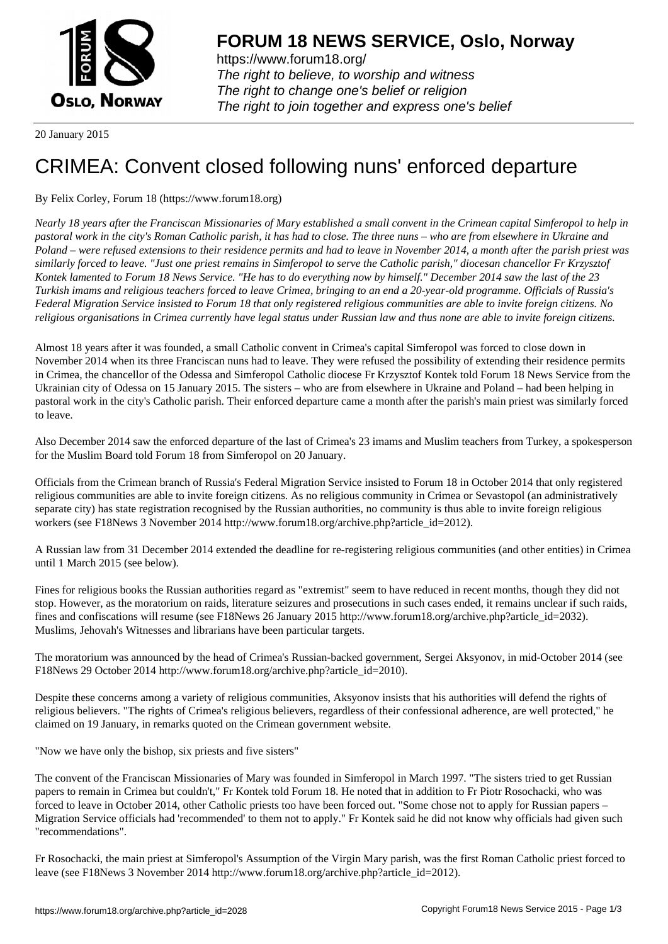

https://www.forum18.org/ The right to believe, to worship and witness The right to change one's belief or religion [The right to join together a](https://www.forum18.org/)nd express one's belief

20 January 2015

## [CRIMEA: Conv](https://www.forum18.org)ent closed following nuns' enforced departure

By Felix Corley, Forum 18 (https://www.forum18.org)

*Nearly 18 years after the Franciscan Missionaries of Mary established a small convent in the Crimean capital Simferopol to help in pastoral work in the city's Roman Catholic parish, it has had to close. The three nuns – who are from elsewhere in Ukraine and Poland – were refused extensions to their residence permits and had to leave in November 2014, a month after the parish priest was similarly forced to leave. "Just one priest remains in Simferopol to serve the Catholic parish," diocesan chancellor Fr Krzysztof Kontek lamented to Forum 18 News Service. "He has to do everything now by himself." December 2014 saw the last of the 23 Turkish imams and religious teachers forced to leave Crimea, bringing to an end a 20-year-old programme. Officials of Russia's Federal Migration Service insisted to Forum 18 that only registered religious communities are able to invite foreign citizens. No religious organisations in Crimea currently have legal status under Russian law and thus none are able to invite foreign citizens.*

Almost 18 years after it was founded, a small Catholic convent in Crimea's capital Simferopol was forced to close down in November 2014 when its three Franciscan nuns had to leave. They were refused the possibility of extending their residence permits in Crimea, the chancellor of the Odessa and Simferopol Catholic diocese Fr Krzysztof Kontek told Forum 18 News Service from the Ukrainian city of Odessa on 15 January 2015. The sisters – who are from elsewhere in Ukraine and Poland – had been helping in pastoral work in the city's Catholic parish. Their enforced departure came a month after the parish's main priest was similarly forced to leave.

Also December 2014 saw the enforced departure of the last of Crimea's 23 imams and Muslim teachers from Turkey, a spokesperson for the Muslim Board told Forum 18 from Simferopol on 20 January.

Officials from the Crimean branch of Russia's Federal Migration Service insisted to Forum 18 in October 2014 that only registered religious communities are able to invite foreign citizens. As no religious community in Crimea or Sevastopol (an administratively separate city) has state registration recognised by the Russian authorities, no community is thus able to invite foreign religious workers (see F18News 3 November 2014 http://www.forum18.org/archive.php?article\_id=2012).

A Russian law from 31 December 2014 extended the deadline for re-registering religious communities (and other entities) in Crimea until 1 March 2015 (see below).

Fines for religious books the Russian authorities regard as "extremist" seem to have reduced in recent months, though they did not stop. However, as the moratorium on raids, literature seizures and prosecutions in such cases ended, it remains unclear if such raids, fines and confiscations will resume (see F18News 26 January 2015 http://www.forum18.org/archive.php?article\_id=2032). Muslims, Jehovah's Witnesses and librarians have been particular targets.

The moratorium was announced by the head of Crimea's Russian-backed government, Sergei Aksyonov, in mid-October 2014 (see F18News 29 October 2014 http://www.forum18.org/archive.php?article\_id=2010).

Despite these concerns among a variety of religious communities, Aksyonov insists that his authorities will defend the rights of religious believers. "The rights of Crimea's religious believers, regardless of their confessional adherence, are well protected," he claimed on 19 January, in remarks quoted on the Crimean government website.

"Now we have only the bishop, six priests and five sisters"

The convent of the Franciscan Missionaries of Mary was founded in Simferopol in March 1997. "The sisters tried to get Russian papers to remain in Crimea but couldn't," Fr Kontek told Forum 18. He noted that in addition to Fr Piotr Rosochacki, who was forced to leave in October 2014, other Catholic priests too have been forced out. "Some chose not to apply for Russian papers – Migration Service officials had 'recommended' to them not to apply." Fr Kontek said he did not know why officials had given such "recommendations".

Fr Rosochacki, the main priest at Simferopol's Assumption of the Virgin Mary parish, was the first Roman Catholic priest forced to leave (see F18News 3 November 2014 http://www.forum18.org/archive.php?article\_id=2012).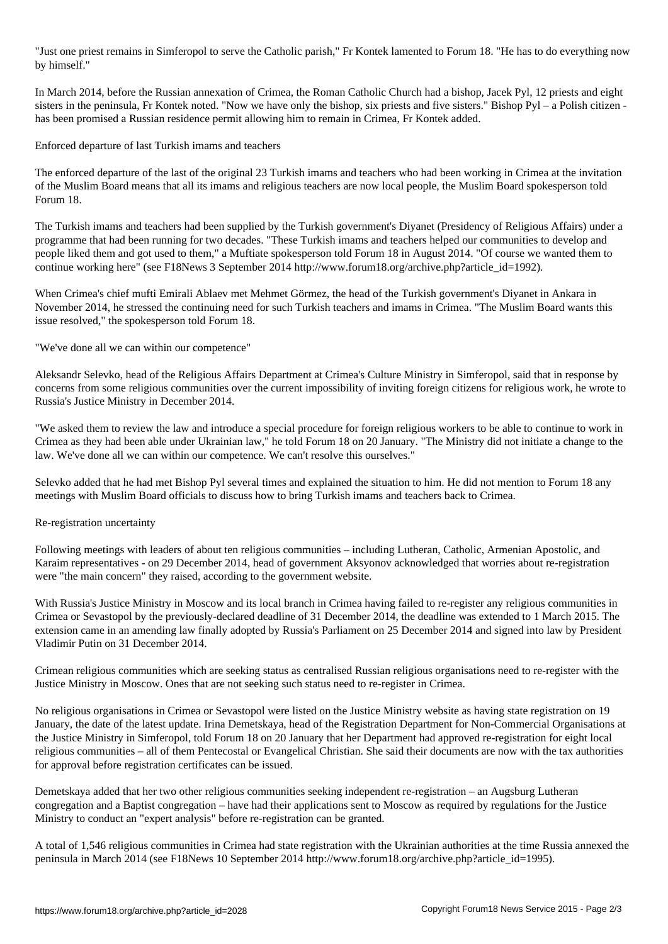"Just one priest remains in Simferopol to serve the Catholic parish," Fr Kontek lamented to Forum 18. "He has to do everything now by himself."

In March 2014, before the Russian annexation of Crimea, the Roman Catholic Church had a bishop, Jacek Pyl, 12 priests and eight sisters in the peninsula, Fr Kontek noted. "Now we have only the bishop, six priests and five sisters." Bishop Pyl – a Polish citizen has been promised a Russian residence permit allowing him to remain in Crimea, Fr Kontek added.

Enforced departure of last Turkish imams and teachers

The enforced departure of the last of the original 23 Turkish imams and teachers who had been working in Crimea at the invitation of the Muslim Board means that all its imams and religious teachers are now local people, the Muslim Board spokesperson told Forum 18.

The Turkish imams and teachers had been supplied by the Turkish government's Diyanet (Presidency of Religious Affairs) under a programme that had been running for two decades. "These Turkish imams and teachers helped our communities to develop and people liked them and got used to them," a Muftiate spokesperson told Forum 18 in August 2014. "Of course we wanted them to continue working here" (see F18News 3 September 2014 http://www.forum18.org/archive.php?article\_id=1992).

When Crimea's chief mufti Emirali Ablaev met Mehmet Görmez, the head of the Turkish government's Diyanet in Ankara in November 2014, he stressed the continuing need for such Turkish teachers and imams in Crimea. "The Muslim Board wants this issue resolved," the spokesperson told Forum 18.

"We've done all we can within our competence"

Aleksandr Selevko, head of the Religious Affairs Department at Crimea's Culture Ministry in Simferopol, said that in response by concerns from some religious communities over the current impossibility of inviting foreign citizens for religious work, he wrote to Russia's Justice Ministry in December 2014.

"We asked them to review the law and introduce a special procedure for foreign religious workers to be able to continue to work in Crimea as they had been able under Ukrainian law," he told Forum 18 on 20 January. "The Ministry did not initiate a change to the law. We've done all we can within our competence. We can't resolve this ourselves."

Selevko added that he had met Bishop Pyl several times and explained the situation to him. He did not mention to Forum 18 any meetings with Muslim Board officials to discuss how to bring Turkish imams and teachers back to Crimea.

## Re-registration uncertainty

Following meetings with leaders of about ten religious communities – including Lutheran, Catholic, Armenian Apostolic, and Karaim representatives - on 29 December 2014, head of government Aksyonov acknowledged that worries about re-registration were "the main concern" they raised, according to the government website.

With Russia's Justice Ministry in Moscow and its local branch in Crimea having failed to re-register any religious communities in Crimea or Sevastopol by the previously-declared deadline of 31 December 2014, the deadline was extended to 1 March 2015. The extension came in an amending law finally adopted by Russia's Parliament on 25 December 2014 and signed into law by President Vladimir Putin on 31 December 2014.

Crimean religious communities which are seeking status as centralised Russian religious organisations need to re-register with the Justice Ministry in Moscow. Ones that are not seeking such status need to re-register in Crimea.

No religious organisations in Crimea or Sevastopol were listed on the Justice Ministry website as having state registration on 19 January, the date of the latest update. Irina Demetskaya, head of the Registration Department for Non-Commercial Organisations at the Justice Ministry in Simferopol, told Forum 18 on 20 January that her Department had approved re-registration for eight local religious communities – all of them Pentecostal or Evangelical Christian. She said their documents are now with the tax authorities for approval before registration certificates can be issued.

Demetskaya added that her two other religious communities seeking independent re-registration – an Augsburg Lutheran congregation and a Baptist congregation – have had their applications sent to Moscow as required by regulations for the Justice Ministry to conduct an "expert analysis" before re-registration can be granted.

A total of 1,546 religious communities in Crimea had state registration with the Ukrainian authorities at the time Russia annexed the peninsula in March 2014 (see F18News 10 September 2014 http://www.forum18.org/archive.php?article\_id=1995).